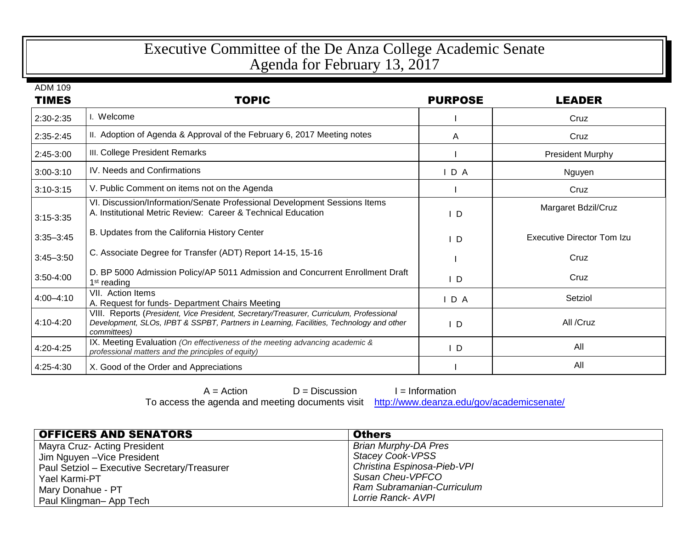## Executive Committee of the De Anza College Academic Senate Agenda for February 13, 2017

| <b>TIMES</b>  | <b>TOPIC</b>                                                                                                                                                                                      | <b>PURPOSE</b> | <b>LEADER</b>                     |
|---------------|---------------------------------------------------------------------------------------------------------------------------------------------------------------------------------------------------|----------------|-----------------------------------|
| 2:30-2:35     | I. Welcome                                                                                                                                                                                        |                | Cruz                              |
| $2:35 - 2:45$ | II. Adoption of Agenda & Approval of the February 6, 2017 Meeting notes                                                                                                                           | A              | Cruz                              |
| 2:45-3:00     | III. College President Remarks                                                                                                                                                                    |                | <b>President Murphy</b>           |
| $3:00-3:10$   | IV. Needs and Confirmations                                                                                                                                                                       | D A            | Nguyen                            |
| $3:10-3:15$   | V. Public Comment on items not on the Agenda                                                                                                                                                      |                | Cruz                              |
| $3:15-3:35$   | VI. Discussion/Information/Senate Professional Development Sessions Items<br>A. Institutional Metric Review: Career & Technical Education                                                         | $\overline{D}$ | Margaret Bdzil/Cruz               |
| $3:35 - 3:45$ | B. Updates from the California History Center                                                                                                                                                     | $\mathsf{L}$   | <b>Executive Director Tom Izu</b> |
| $3:45 - 3:50$ | C. Associate Degree for Transfer (ADT) Report 14-15, 15-16                                                                                                                                        |                | Cruz                              |
| $3:50 - 4:00$ | D. BP 5000 Admission Policy/AP 5011 Admission and Concurrent Enrollment Draft<br>1 <sup>st</sup> reading                                                                                          | $\mathsf{I}$ D | Cruz                              |
| $4:00 - 4:10$ | VII. Action Items<br>A. Request for funds- Department Chairs Meeting                                                                                                                              | D A            | Setziol                           |
| 4:10-4:20     | VIII. Reports (President, Vice President, Secretary/Treasurer, Curriculum, Professional<br>Development, SLOs, IPBT & SSPBT, Partners in Learning, Facilities, Technology and other<br>committees) | $\mathsf{L}$   | All /Cruz                         |
| 4:20-4:25     | IX. Meeting Evaluation (On effectiveness of the meeting advancing academic &<br>professional matters and the principles of equity)                                                                | $\mathsf{L}$   | All                               |
| 4:25-4:30     | X. Good of the Order and Appreciations                                                                                                                                                            |                | All                               |

 $A =$  Action  $D =$  Discussion  $I =$  Information<br>e agenda and meeting documents visit http://www.deanza.edu/gov/academicsenate/ To access the agenda and meeting documents visit

| <b>OFFICERS AND SENATORS</b>                 | <b>Others</b>               |
|----------------------------------------------|-----------------------------|
| Mayra Cruz- Acting President                 | <b>Brian Murphy-DA Pres</b> |
| Jim Nguyen - Vice President                  | <b>Stacey Cook-VPSS</b>     |
| Paul Setziol - Executive Secretary/Treasurer | Christina Espinosa-Pieb-VPI |
| Yael Karmi-PT                                | Susan Cheu-VPFCO            |
| Mary Donahue - PT                            | Ram Subramanian-Curriculum  |
| Paul Klingman- App Tech                      | Lorrie Ranck- AVPI          |